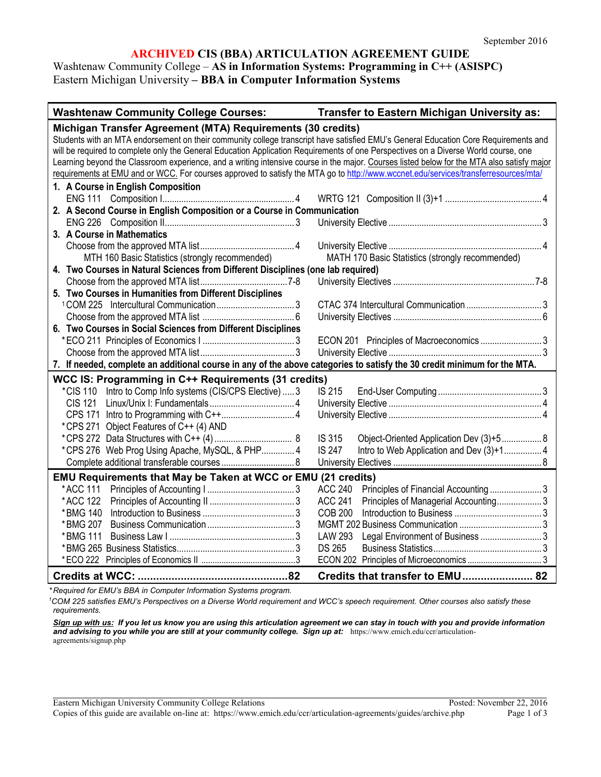## **ARCHIVED CIS (BBA) ARTICULATION AGREEMENT GUIDE**

## Washtenaw Community College – **AS in Information Systems: Programming in C++ (ASISPC)** Eastern Michigan University **– BBA in Computer Information Systems**

| <b>Washtenaw Community College Courses:</b>                                                                                                                                                                                                                                                                                                                                                                                                                                                                                                                                                                                    | Transfer to Eastern Michigan University as:               |  |  |
|--------------------------------------------------------------------------------------------------------------------------------------------------------------------------------------------------------------------------------------------------------------------------------------------------------------------------------------------------------------------------------------------------------------------------------------------------------------------------------------------------------------------------------------------------------------------------------------------------------------------------------|-----------------------------------------------------------|--|--|
| Michigan Transfer Agreement (MTA) Requirements (30 credits)<br>Students with an MTA endorsement on their community college transcript have satisfied EMU's General Education Core Requirements and<br>will be required to complete only the General Education Application Requirements of one Perspectives on a Diverse World course, one<br>Learning beyond the Classroom experience, and a writing intensive course in the major. Courses listed below for the MTA also satisfy major<br>requirements at EMU and or WCC. For courses approved to satisfy the MTA go to http://www.wccnet.edu/services/transferresources/mta/ |                                                           |  |  |
| 1. A Course in English Composition                                                                                                                                                                                                                                                                                                                                                                                                                                                                                                                                                                                             |                                                           |  |  |
| 2. A Second Course in English Composition or a Course in Communication                                                                                                                                                                                                                                                                                                                                                                                                                                                                                                                                                         |                                                           |  |  |
|                                                                                                                                                                                                                                                                                                                                                                                                                                                                                                                                                                                                                                |                                                           |  |  |
| 3. A Course in Mathematics                                                                                                                                                                                                                                                                                                                                                                                                                                                                                                                                                                                                     |                                                           |  |  |
|                                                                                                                                                                                                                                                                                                                                                                                                                                                                                                                                                                                                                                |                                                           |  |  |
| MTH 160 Basic Statistics (strongly recommended)                                                                                                                                                                                                                                                                                                                                                                                                                                                                                                                                                                                | MATH 170 Basic Statistics (strongly recommended)          |  |  |
| 4. Two Courses in Natural Sciences from Different Disciplines (one lab required)                                                                                                                                                                                                                                                                                                                                                                                                                                                                                                                                               |                                                           |  |  |
|                                                                                                                                                                                                                                                                                                                                                                                                                                                                                                                                                                                                                                |                                                           |  |  |
| 5. Two Courses in Humanities from Different Disciplines                                                                                                                                                                                                                                                                                                                                                                                                                                                                                                                                                                        |                                                           |  |  |
|                                                                                                                                                                                                                                                                                                                                                                                                                                                                                                                                                                                                                                |                                                           |  |  |
|                                                                                                                                                                                                                                                                                                                                                                                                                                                                                                                                                                                                                                |                                                           |  |  |
| 6. Two Courses in Social Sciences from Different Disciplines                                                                                                                                                                                                                                                                                                                                                                                                                                                                                                                                                                   |                                                           |  |  |
|                                                                                                                                                                                                                                                                                                                                                                                                                                                                                                                                                                                                                                |                                                           |  |  |
|                                                                                                                                                                                                                                                                                                                                                                                                                                                                                                                                                                                                                                |                                                           |  |  |
| 7. If needed, complete an additional course in any of the above categories to satisfy the 30 credit minimum for the MTA.                                                                                                                                                                                                                                                                                                                                                                                                                                                                                                       |                                                           |  |  |
| WCC IS: Programming in C++ Requirements (31 credits)                                                                                                                                                                                                                                                                                                                                                                                                                                                                                                                                                                           |                                                           |  |  |
| *CIS 110 Intro to Comp Info systems (CIS/CPS Elective)  3                                                                                                                                                                                                                                                                                                                                                                                                                                                                                                                                                                      | IS 215                                                    |  |  |
|                                                                                                                                                                                                                                                                                                                                                                                                                                                                                                                                                                                                                                |                                                           |  |  |
| *CPS 271 Object Features of C++ (4) AND                                                                                                                                                                                                                                                                                                                                                                                                                                                                                                                                                                                        |                                                           |  |  |
|                                                                                                                                                                                                                                                                                                                                                                                                                                                                                                                                                                                                                                | IS 315<br>Object-Oriented Application Dev (3)+5 8         |  |  |
| *CPS 276 Web Prog Using Apache, MySQL, & PHP 4                                                                                                                                                                                                                                                                                                                                                                                                                                                                                                                                                                                 | <b>IS 247</b><br>Intro to Web Application and Dev (3)+1 4 |  |  |
|                                                                                                                                                                                                                                                                                                                                                                                                                                                                                                                                                                                                                                |                                                           |  |  |
| EMU Requirements that May be Taken at WCC or EMU (21 credits)                                                                                                                                                                                                                                                                                                                                                                                                                                                                                                                                                                  |                                                           |  |  |
| *ACC 111                                                                                                                                                                                                                                                                                                                                                                                                                                                                                                                                                                                                                       | <b>ACC 240</b><br>Principles of Financial Accounting3     |  |  |
| *ACC 122                                                                                                                                                                                                                                                                                                                                                                                                                                                                                                                                                                                                                       | Principles of Managerial Accounting 3<br><b>ACC 241</b>   |  |  |
| *BMG 140                                                                                                                                                                                                                                                                                                                                                                                                                                                                                                                                                                                                                       | <b>COB 200</b>                                            |  |  |
|                                                                                                                                                                                                                                                                                                                                                                                                                                                                                                                                                                                                                                |                                                           |  |  |
| * BMG 111                                                                                                                                                                                                                                                                                                                                                                                                                                                                                                                                                                                                                      | Legal Environment of Business 3<br><b>LAW 293</b>         |  |  |
|                                                                                                                                                                                                                                                                                                                                                                                                                                                                                                                                                                                                                                | <b>DS 265</b>                                             |  |  |
|                                                                                                                                                                                                                                                                                                                                                                                                                                                                                                                                                                                                                                |                                                           |  |  |
|                                                                                                                                                                                                                                                                                                                                                                                                                                                                                                                                                                                                                                | Credits that transfer to EMU 82                           |  |  |

*\* Required for EMU's BBA in Computer Information Systems program.*

<sup>1</sup>COM 225 satisfies EMU's Perspectives on a Diverse World requirement and WCC's speech requirement. Other courses also satisfy these *requirements.*

*Sign up with us: If you let us know you are using this articulation agreement we can stay in touch with you and provide information*  and advising to you while you are still at your community college. Sign up at: [https://www.emich.edu/ccr/articulation](https://www.emich.edu/ccr/articulation-agreements/signup.php)[agreements/signup.php](https://www.emich.edu/ccr/articulation-agreements/signup.php)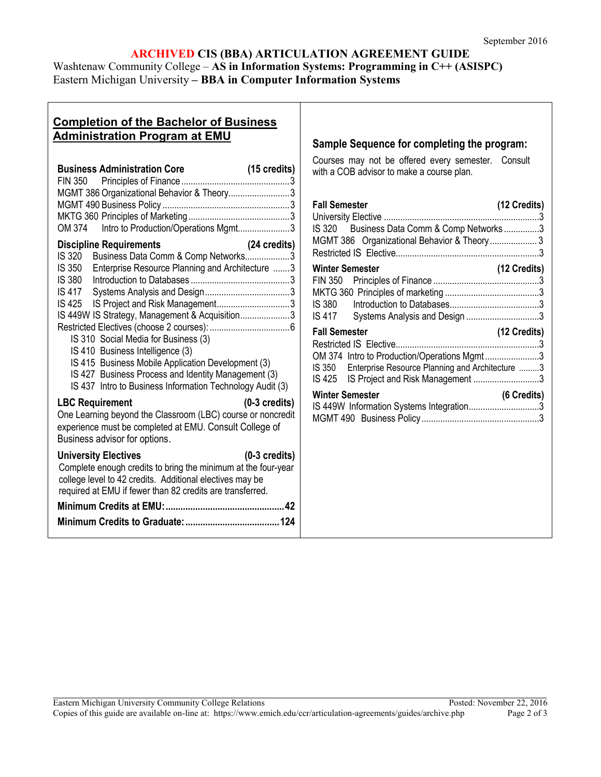# **ARCHIVED CIS (BBA) ARTICULATION AGREEMENT GUIDE**

Washtenaw Community College – **AS in Information Systems: Programming in C++ (ASISPC)** Eastern Michigan University **– BBA in Computer Information Systems**

# **Completion of the Bachelor of Business Administration Program at EMU**

| <b>Business Administration Core</b>                                                                                                                                                                                                                                                                                                                                                                                                                                                        | $(15 \text{ credits})$<br>3 |  |
|--------------------------------------------------------------------------------------------------------------------------------------------------------------------------------------------------------------------------------------------------------------------------------------------------------------------------------------------------------------------------------------------------------------------------------------------------------------------------------------------|-----------------------------|--|
| MGMT 386 Organizational Behavior & Theory3                                                                                                                                                                                                                                                                                                                                                                                                                                                 |                             |  |
| OM 374 Intro to Production/Operations Mgmt3                                                                                                                                                                                                                                                                                                                                                                                                                                                |                             |  |
| <b>Discipline Requirements</b><br>Business Data Comm & Comp Networks<br>IS 320<br>IS 350 Enterprise Resource Planning and Architecture 3<br>IS 425 IS Project and Risk Management3<br>IS 449W IS Strategy, Management & Acquisition3<br>IS 310 Social Media for Business (3)<br>IS 410 Business Intelligence (3)<br>IS 415 Business Mobile Application Development (3)<br>IS 427 Business Process and Identity Management (3)<br>IS 437 Intro to Business Information Technology Audit (3) | (24 credits)<br>3           |  |
| <b>LBC Requirement</b><br>One Learning beyond the Classroom (LBC) course or noncredit<br>experience must be completed at EMU. Consult College of<br>Business advisor for options.                                                                                                                                                                                                                                                                                                          | $(0-3$ credits)             |  |
| <b>University Electives</b><br>Complete enough credits to bring the minimum at the four-year<br>college level to 42 credits. Additional electives may be<br>required at EMU if fewer than 82 credits are transferred.                                                                                                                                                                                                                                                                      | $(0-3$ credits)             |  |
|                                                                                                                                                                                                                                                                                                                                                                                                                                                                                            |                             |  |
|                                                                                                                                                                                                                                                                                                                                                                                                                                                                                            |                             |  |

## **Sample Sequence for completing the program:**

Courses may not be offered every semester. Consult with a COB advisor to make a course plan.

| <b>Fall Semester</b>                                   | (12 Credits) |
|--------------------------------------------------------|--------------|
|                                                        |              |
| IS 320 Business Data Comm & Comp Networks3             |              |
| MGMT 386 Organizational Behavior & Theory 3            |              |
|                                                        |              |
| Winter Semester                                        | (12 Credits) |
|                                                        |              |
|                                                        |              |
|                                                        |              |
| IS 417 Systems Analysis and Design 3                   |              |
| <b>Fall Semester</b>                                   | (12 Credits) |
|                                                        |              |
| OM 374 Intro to Production/Operations Mgmt3            |              |
| IS 350 Enterprise Resource Planning and Architecture 3 |              |
| IS 425 IS Project and Risk Management 3                |              |
| <b>Winter Semester</b>                                 | (6 Credits)  |
| IS 449W Information Systems Integration3               |              |
|                                                        |              |
|                                                        |              |
|                                                        |              |